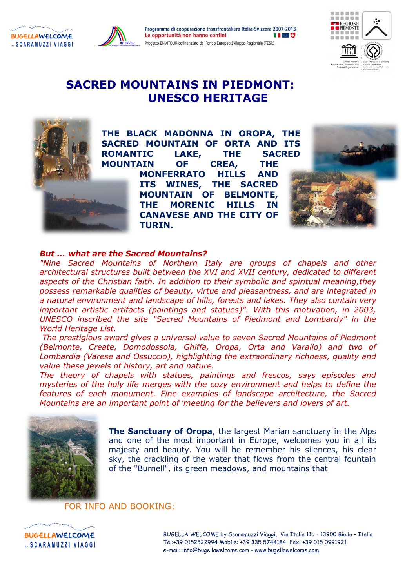

# **SACRED MOUNTAINS IN PIEDMONT: UNESCO HERITAGE**



**BUGELLAWELCOME** 

**SCARAMUZZI VIAGGI** 

**THE BLACK MADONNA IN OROPA, THE SACRED MOUNTAIN OF ORTA AND ITS ROMANTIC LAKE, THE SACRED MOUNTAIN OF CREA, THE MONFERRATO HILLS AND ITS WINES, THE SACRED MOUNTAIN OF BELMONTE, THE MORENIC HILLS IN CANAVESE AND THE CITY OF TURIN.**



### *But ... what are the Sacred Mountains?*

*"Nine Sacred Mountains of Northern Italy are groups of chapels and other architectural structures built between the XVI and XVII century, dedicated to different aspects of the Christian faith. In addition to their symbolic and spiritual meaning,they possess remarkable qualities of beauty, virtue and pleasantness, and are integrated in a natural environment and landscape of hills, forests and lakes. They also contain very important artistic artifacts (paintings and statues)". With this motivation, in 2003, UNESCO inscribed the site "Sacred Mountains of Piedmont and Lombardy" in the World Heritage List.*

*The prestigious award gives a universal value to seven Sacred Mountains of Piedmont (Belmonte, Create, Domodossola, Ghiffa, Oropa, Orta and Varallo) and two of Lombardia (Varese and Ossuccio), highlighting the extraordinary richness, quality and value these jewels of history, art and nature.* 

*The theory of chapels with statues, paintings and frescos, says episodes and mysteries of the holy life merges with the cozy environment and helps to define the features of each monument. Fine examples of landscape architecture, the Sacred Mountains are an important point of 'meeting for the believers and lovers of art.*



**The Sanctuary of Oropa**, the largest Marian sanctuary in the Alps and one of the most important in Europe, welcomes you in all its majesty and beauty. You will be remember his silences, his clear sky, the crackling of the water that flows from the central fountain of the "Burnell", its green meadows, and mountains that

# FOR INFO AND BOOKING:

**BUGELLAWELCOME SCARAMUZZI VIAGGI**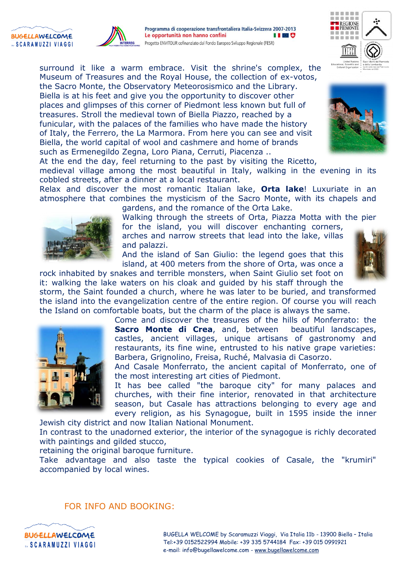



surround it like a warm embrace. Visit the shrine's complex, the Museum of Treasures and the Royal House, the collection of ex-votos, the Sacro Monte, the Observatory Meteorosismico and the Library. Biella is at his feet and give you the opportunity to discover other places and glimpses of this corner of Piedmont less known but full of treasures. Stroll the medieval town of Biella Piazzo, reached by a funicular, with the palaces of the families who have made the history of Italy, the Ferrero, the La Marmora. From here you can see and visit Biella, the world capital of wool and cashmere and home of brands such as Ermenegildo Zegna, Loro Piana, Cerruti, Piacenza ..





At the end the day, feel returning to the past by visiting the Ricetto,

medieval village among the most beautiful in Italy, walking in the evening in its cobbled streets, after a dinner at a local restaurant.

Relax and discover the most romantic Italian lake, **Orta lake**! Luxuriate in an atmosphere that combines the mysticism of the Sacro Monte, with its chapels and



gardens, and the romance of the Orta Lake.

Walking through the streets of Orta, Piazza Motta with the pier for the island, you will discover enchanting corners,

arches and narrow streets that lead into the lake, villas and palazzi.

And the island of San Giulio: the legend goes that this island, at 400 meters from the shore of Orta, was once a

rock inhabited by snakes and terrible monsters, when Saint Giulio set foot on it: walking the lake waters on his cloak and guided by his staff through the



storm, the Saint founded a church, where he was later to be buried, and transformed the island into the evangelization centre of the entire region. Of course you will reach the Island on comfortable boats, but the charm of the place is always the same.

Come and discover the treasures of the hills of Monferrato: the **Sacro Monte di Crea**, and, between beautiful landscapes, castles, ancient villages, unique artisans of gastronomy and restaurants, its fine wine, entrusted to his native grape varieties: Barbera, Grignolino, Freisa, Ruché, Malvasia di Casorzo.

And Casale Monferrato, the ancient capital of Monferrato, one of the most interesting art cities of Piedmont.

It has bee called "the baroque city" for many palaces and churches, with their fine interior, renovated in that architecture season, but Casale has attractions belonging to every age and every religion, as his Synagogue, built in 1595 inside the inner

Jewish city district and now Italian National Monument.

In contrast to the unadorned exterior, the interior of the synagogue is richly decorated with paintings and gilded stucco,

retaining the original baroque furniture.

Take advantage and also taste the typical cookies of Casale, the "krumiri" accompanied by local wines.

#### FOR INFO AND BOOKING:



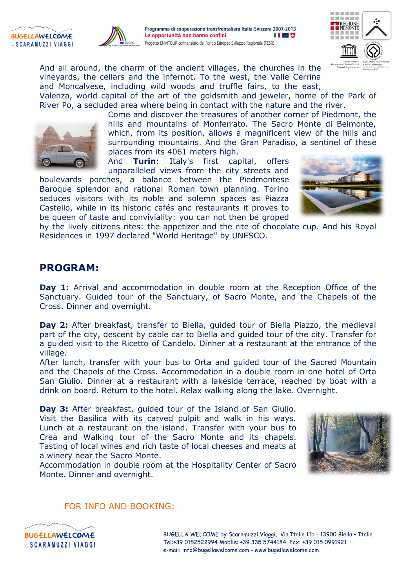





And all around, the charm of the ancient villages, the churches in the vineyards, the cellars and the infernot. To the west, the Valle Cerrina and Moncalvese, including wild woods and truffle fairs, to the east,

Valenza, world capital of the art of the goldsmith and jeweler, home of the Park of River Po, a secluded area where being in contact with the nature and the river.



Come and discover the treasures of another corner of Piedmont, the hills and mountains of Monferrato. The Sacro Monte di Belmonte, which, from its position, allows a magnificent view of the hills and surrounding mountains. And the Gran Paradiso, a sentinel of these places from its 4061 meters high.

And **Turin**: Italy's first capital, offers unparalleled views from the city streets and

boulevards porches, a balance between the Piedmontese Baroque splendor and rational Roman town planning. Torino seduces visitors with its noble and solemn spaces as Piazza Castello, while in its historic cafés and restaurants it proves to be queen of taste and conviviality: you can not then be groped



by the lively citizens rites: the appetizer and the rite of chocolate cup. And his Royal Residences in 1997 declared "World Heritage" by UNESCO.

# **PROGRAM:**

**Day 1:** Arrival and accommodation in double room at the Reception Office of the Sanctuary. Guided tour of the Sanctuary, of Sacro Monte, and the Chapels of the Cross. Dinner and overnight.

Day 2: After breakfast, transfer to Biella, guided tour of Biella Piazzo, the medieval part of the city, descent by cable car to Biella and guided tour of the city. Transfer for a guided visit to the Ricetto of Candelo. Dinner at a restaurant at the entrance of the village.

After lunch, transfer with your bus to Orta and guided tour of the Sacred Mountain and the Chapels of the Cross. Accommodation in a double room in one hotel of Orta San Giulio. Dinner at a restaurant with a lakeside terrace, reached by boat with a drink on board. Return to the hotel. Relax walking along the lake. Overnight.

**Day 3:** After breakfast, guided tour of the Island of San Giulio. Visit the Basilica with its carved pulpit and walk in his ways. Lunch at a restaurant on the island. Transfer with your bus to Crea and Walking tour of the Sacro Monte and its chapels. Tasting of local wines and rich taste of local cheeses and meats at a winery near the Sacro Monte.



Accommodation in double room at the Hospitality Center of Sacro Monte. Dinner and overnight.

### FOR INFO AND BOOKING:

**BUGELLAWELCOME** "SCARAMUZZI VIAGGI